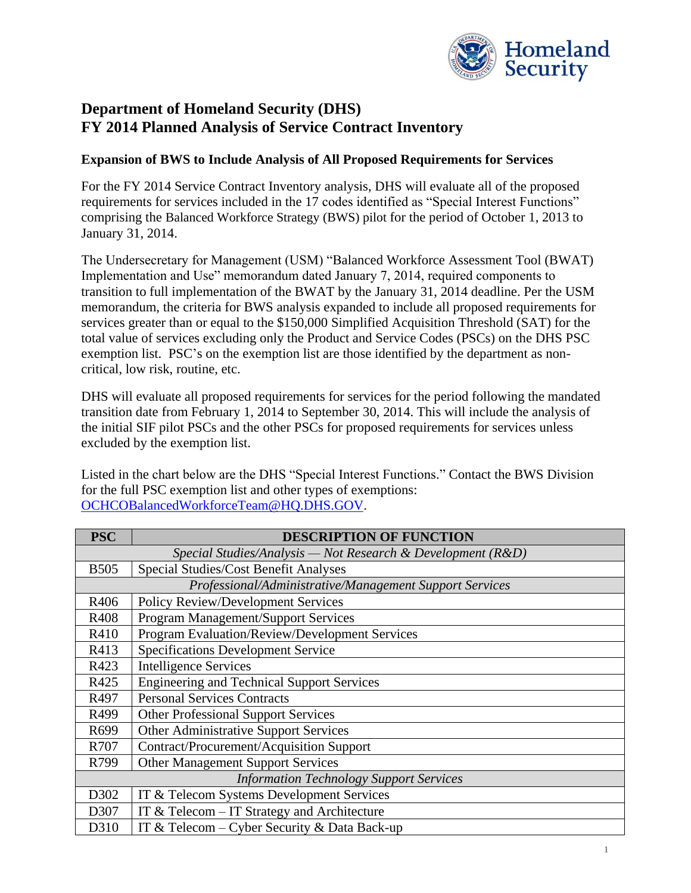

## **Department of Homeland Security (DHS) FY 2014 Planned Analysis of Service Contract Inventory**

## **Expansion of BWS to Include Analysis of All Proposed Requirements for Services**

For the FY 2014 Service Contract Inventory analysis, DHS will evaluate all of the proposed requirements for services included in the 17 codes identified as "Special Interest Functions" comprising the Balanced Workforce Strategy (BWS) pilot for the period of October 1, 2013 to January 31, 2014.

The Undersecretary for Management (USM) "Balanced Workforce Assessment Tool (BWAT) Implementation and Use" memorandum dated January 7, 2014, required components to transition to full implementation of the BWAT by the January 31, 2014 deadline. Per the USM memorandum, the criteria for BWS analysis expanded to include all proposed requirements for services greater than or equal to the \$150,000 Simplified Acquisition Threshold (SAT) for the total value of services excluding only the Product and Service Codes (PSCs) on the DHS PSC exemption list. PSC's on the exemption list are those identified by the department as noncritical, low risk, routine, etc.

DHS will evaluate all proposed requirements for services for the period following the mandated transition date from February 1, 2014 to September 30, 2014. This will include the analysis of the initial SIF pilot PSCs and the other PSCs for proposed requirements for services unless excluded by the exemption list.

Listed in the chart below are the DHS "Special Interest Functions." Contact the BWS Division for the full PSC exemption list and other types of exemptions: [OCHCOBalancedWorkforceTeam@HQ.DHS.GOV.](mailto:OCHCOBalancedWorkforceTeam@HQ.DHS.GOV)

| <b>PSC</b>                                                      | <b>DESCRIPTION OF FUNCTION</b>                    |
|-----------------------------------------------------------------|---------------------------------------------------|
| Special Studies/Analysis - Not Research & Development ( $R&D$ ) |                                                   |
| <b>B505</b>                                                     | Special Studies/Cost Benefit Analyses             |
| Professional/Administrative/Management Support Services         |                                                   |
| R406                                                            | <b>Policy Review/Development Services</b>         |
| R408                                                            | Program Management/Support Services               |
| R410                                                            | Program Evaluation/Review/Development Services    |
| R413                                                            | <b>Specifications Development Service</b>         |
| R423                                                            | <b>Intelligence Services</b>                      |
| R425                                                            | <b>Engineering and Technical Support Services</b> |
| R497                                                            | <b>Personal Services Contracts</b>                |
| R499                                                            | <b>Other Professional Support Services</b>        |
| R699                                                            | <b>Other Administrative Support Services</b>      |
| R707                                                            | Contract/Procurement/Acquisition Support          |
| R799                                                            | Other Management Support Services                 |
| <b>Information Technology Support Services</b>                  |                                                   |
| D302                                                            | IT & Telecom Systems Development Services         |
| D307                                                            | IT & Telecom $-$ IT Strategy and Architecture     |
| D310                                                            | IT & Telecom – Cyber Security & Data Back-up      |